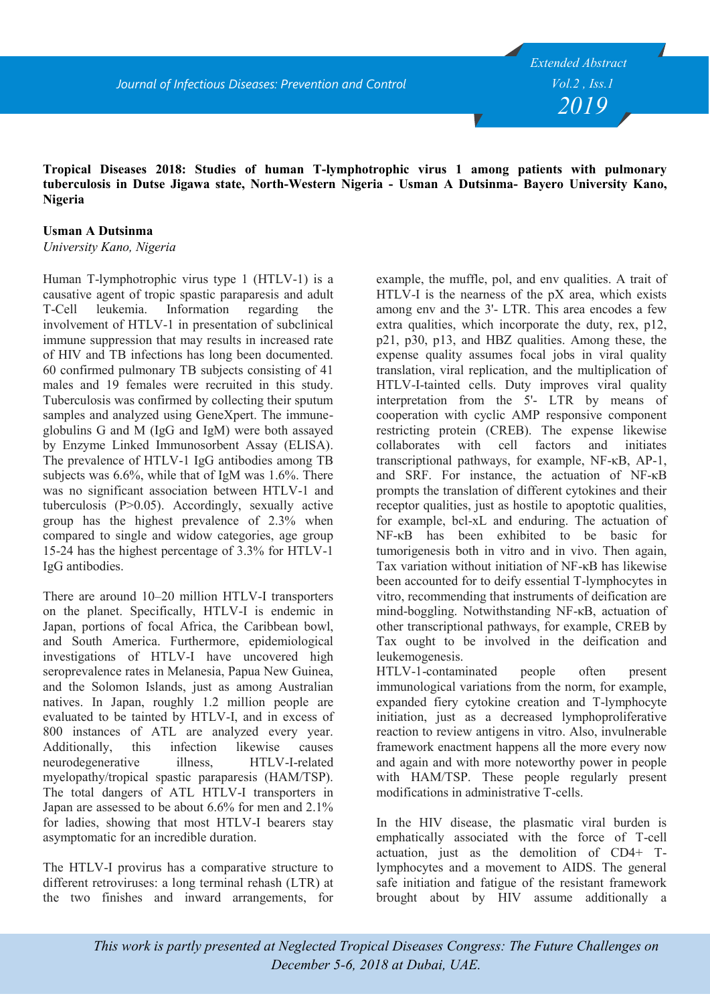## **Tropical Diseases 2018: Studies of human T-lymphotrophic virus 1 among patients with pulmonary tuberculosis in Dutse Jigawa state, North-Western Nigeria - Usman A Dutsinma- Bayero University Kano, Nigeria**

## **Usman A Dutsinma**

*University Kano, Nigeria*

Human T-lymphotrophic virus type 1 (HTLV-1) is a causative agent of tropic spastic paraparesis and adult T-Cell leukemia. Information regarding the involvement of HTLV-1 in presentation of subclinical immune suppression that may results in increased rate of HIV and TB infections has long been documented. 60 confirmed pulmonary TB subjects consisting of 41 males and 19 females were recruited in this study. Tuberculosis was confirmed by collecting their sputum samples and analyzed using GeneXpert. The immuneglobulins G and M (IgG and IgM) were both assayed by Enzyme Linked Immunosorbent Assay (ELISA). The prevalence of HTLV-1 IgG antibodies among TB subjects was 6.6%, while that of IgM was 1.6%. There was no significant association between HTLV-1 and tuberculosis (P>0.05). Accordingly, sexually active group has the highest prevalence of 2.3% when compared to single and widow categories, age group 15-24 has the highest percentage of 3.3% for HTLV-1 IgG antibodies.

There are around 10–20 million HTLV-I transporters on the planet. Specifically, HTLV-I is endemic in Japan, portions of focal Africa, the Caribbean bowl, and South America. Furthermore, epidemiological investigations of HTLV-I have uncovered high seroprevalence rates in Melanesia, Papua New Guinea, and the Solomon Islands, just as among Australian natives. In Japan, roughly 1.2 million people are evaluated to be tainted by HTLV-I, and in excess of 800 instances of ATL are analyzed every year. Additionally, this infection likewise causes neurodegenerative illness, HTLV-I-related myelopathy/tropical spastic paraparesis (HAM/TSP). The total dangers of ATL HTLV-I transporters in Japan are assessed to be about 6.6% for men and 2.1% for ladies, showing that most HTLV-I bearers stay asymptomatic for an incredible duration.

The HTLV-I provirus has a comparative structure to different retroviruses: a long terminal rehash (LTR) at the two finishes and inward arrangements, for

example, the muffle, pol, and env qualities. A trait of HTLV-I is the nearness of the pX area, which exists among env and the 3'- LTR. This area encodes a few extra qualities, which incorporate the duty, rex, p12, p21, p30, p13, and HBZ qualities. Among these, the expense quality assumes focal jobs in viral quality translation, viral replication, and the multiplication of HTLV-I-tainted cells. Duty improves viral quality interpretation from the 5'- LTR by means of cooperation with cyclic AMP responsive component restricting protein (CREB). The expense likewise collaborates with cell factors and initiates transcriptional pathways, for example, NF-κB, AP-1, and SRF. For instance, the actuation of NF-κB prompts the translation of different cytokines and their receptor qualities, just as hostile to apoptotic qualities, for example, bcl-xL and enduring. The actuation of NF-κB has been exhibited to be basic for tumorigenesis both in vitro and in vivo. Then again, Tax variation without initiation of NF-κB has likewise been accounted for to deify essential T-lymphocytes in vitro, recommending that instruments of deification are mind-boggling. Notwithstanding NF-κB, actuation of other transcriptional pathways, for example, CREB by Tax ought to be involved in the deification and leukemogenesis.

HTLV-1-contaminated people often present immunological variations from the norm, for example, expanded fiery cytokine creation and T-lymphocyte initiation, just as a decreased lymphoproliferative reaction to review antigens in vitro. Also, invulnerable framework enactment happens all the more every now and again and with more noteworthy power in people with HAM/TSP. These people regularly present modifications in administrative T-cells.

In the HIV disease, the plasmatic viral burden is emphatically associated with the force of T-cell actuation, just as the demolition of CD4+ Tlymphocytes and a movement to AIDS. The general safe initiation and fatigue of the resistant framework brought about by HIV assume additionally a

*This work is partly presented at Neglected Tropical Diseases Congress: The Future Challenges on December 5-6, 2018 at Dubai, UAE.*